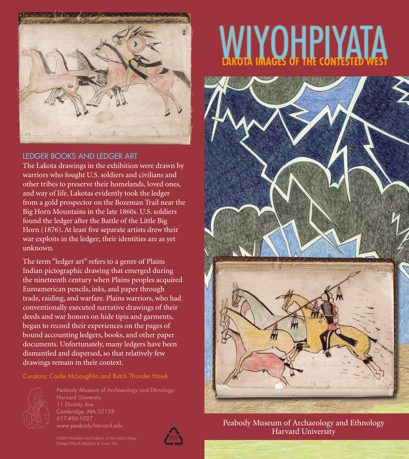

## LEDGER BOOKS AND LEDGER ART

The Lakota drawings in the exhibition were drawn by warriors who fought U.S. soldiers and civilians and other tribes to preserve their homelands, loved ones, and way of life. Lakotas evidently took the ledger from a gold prospector on the Bozeman Trail near the Big Horn Mountains in the late 1860s. U.S. soldiers found the ledger after the Battle of the Little Big Horn (1876). At least five separate artists drew their war exploits in the ledger; their identities are as yet unknown.

The term "ledger art" refers to a genre of Plains Indian pictographic drawing that emerged during the nineteenth century when Plains peoples acquired Euroamerican pencils, inks, and paper through trade, raiding, and warfare. Plains warriors, who had conventionally executed narrative drawings of their deeds and war honors on hide tipis and garments, began to record their experiences on the pages of bound accounting ledgers, books, and other paper documents. Unfortunately, many ledgers have been dismantled and dispersed, so that relatively few drawings remain in their context.



Harvard University Cambridge, MA 02138 617-496-1027 www.peabody.harvard.edu



## **MIYOHPIYATA**



Peabody Museum of Archaeology and Ethnology Harvard University